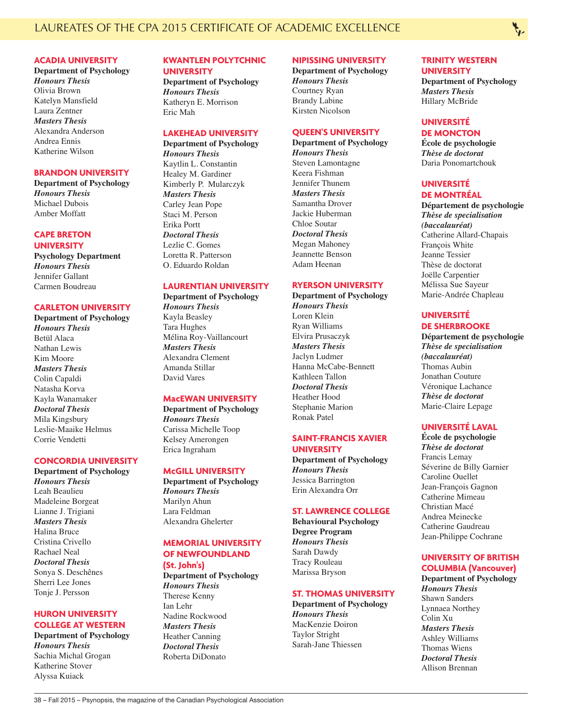### **ACADIA UNIVERSITY**

**Department of Psychology** *Honours Thesis* Olivia Brown Katelyn Mansfield Laura Zentner *Masters Thesis* Alexandra Anderson Andrea Ennis Katherine Wilson

#### **BRANDON UNIVERSITY**

**Department of Psychology** *Honours Thesis* Michael Dubois Amber Moffatt

### **CAPE BRETON UNIVERSITY**

**Psychology Department** *Honours Thesis* Jennifer Gallant Carmen Boudreau

#### **CARLETON UNIVERSITY**

**Department of Psychology** *Honours Thesis* Betül Alaca Nathan Lewis Kim Moore *Masters Thesis* Colin Capaldi Natasha Korva Kayla Wanamaker *Doctoral Thesis* Mila Kingsbury Leslie-Maaike Helmus Corrie Vendetti

### **CONCORDIA UNIVERSITY**

**Department of Psychology** *Honours Thesis* Leah Beaulieu Madeleine Borgeat Lianne J. Trigiani *Masters Thesis* Halina Bruce Cristina Crivello Rachael Neal *Doctoral Thesis* Sonya S. Deschênes Sherri Lee Jones Tonje J. Persson

# **HURON UNIVERSITY COLLEGE AT WESTERN**

**Department of Psychology** *Honours Thesis* Sachia Michal Grogan Katherine Stover Alyssa Kuiack

#### **KWANTLEN POLYTCHNIC UNIVERSITY**

**Department of Psychology** *Honours Thesis* Katheryn E. Morrison Eric Mah

### **LAKEHEAD UNIVERSITY**

**Department of Psychology** *Honours Thesis* Kaytlin L. Constantin Healey M. Gardiner Kimberly P. Mularczyk *Masters Thesis* Carley Jean Pope Staci M. Person Erika Portt *Doctoral Thesis* Lezlie C. Gomes Loretta R. Patterson O. Eduardo Roldan

## **LAURENTIAN UNIVERSITY**

**Department of Psychology** *Honours Thesis* Kayla Beasley Tara Hughes Mélina Roy-Vaillancourt *Masters Thesis* Alexandra Clement Amanda Stillar David Vares

### **MacEWAN UNIVERSITY**

**Department of Psychology** *Honours Thesis* Carissa Michelle Toop Kelsey Amerongen Erica Ingraham

#### **McGILL UNIVERSITY**

**Department of Psychology** *Honours Thesis* Marilyn Ahun Lara Feldman Alexandra Ghelerter

# **MEMORIAL UNIVERSITY OF NEWFOUNDLAND**

**(St. John's)**

**Department of Psychology** *Honours Thesis* Therese Kenny Ian Lehr Nadine Rockwood *Masters Thesis* Heather Canning *Doctoral Thesis* Roberta DiDonato

# **NIPISSING UNIVERSITY**

**Department of Psychology** *Honours Thesis* Courtney Ryan Brandy Labine Kirsten Nicolson

#### **QUEEN'S UNIVERSITY**

**Department of Psychology** *Honours Thesis* Steven Lamontagne Keera Fishman Jennifer Thunem *Masters Thesis* Samantha Drover Jackie Huberman Chloe Soutar *Doctoral Thesis* Megan Mahoney Jeannette Benson Adam Heenan

# **RYERSON UNIVERSITY**

**Department of Psychology** *Honours Thesis* Loren Klein Ryan Williams Elvira Prusaczyk *Masters Thesis* Jaclyn Ludmer Hanna McCabe-Bennett Kathleen Tallon *Doctoral Thesis* Heather Hood Stephanie Marion Ronak Patel

# **SAINT-FRANCIS XAVIER**

**UNIVERSITY Department of Psychology** *Honours Thesis* Jessica Barrington Erin Alexandra Orr

### **ST. LAWRENCE COLLEGE**

**Behavioural Psychology Degree Program** *Honours Thesis* Sarah Dawdy Tracy Rouleau Marissa Bryson

### **ST. THOMAS UNIVERSITY**

**Department of Psychology** *Honours Thesis* MacKenzie Doiron Taylor Stright Sarah-Jane Thiessen

# **TRINITY WESTERN**

**UNIVERSITY Department of Psychology** *Masters Thesis* Hillary McBride

#### **UNIVERSITÉ DE MONCTON**

**École de psychologie** *Thèse de doctorat* Daria Ponomartchouk

## **UNIVERSITÉ DE MONTRÉAL**

**Département de psychologie** *Thèse de specialisation (baccalauréat)* Catherine Allard-Chapais François White Jeanne Tessier Thèse de doctorat Joëlle Carpentier Mélissa Sue Sayeur Marie-Andrée Chapleau

# **UNIVERSITÉ DE SHERBROOKE**

**Département de psychologie** *Thèse de specialisation (baccalauréat)* Thomas Aubin Jonathan Couture Véronique Lachance *Thèse de doctorat* Marie-Claire Lepage

# **UNIVERSITÉ LAVAL**

**École de psychologie** *Thèse de doctorat* Francis Lemay Séverine de Billy Garnier Caroline Ouellet Jean-François Gagnon Catherine Mimeau Christian Macé Andrea Meinecke Catherine Gaudreau Jean-Philippe Cochrane

#### **UNIVERSITY OF BRITISH COLUMBIA (Vancouver)**

**Department of Psychology** *Honours Thesis* Shawn Sanders Lynnaea Northey Colin Xu *Masters Thesis* Ashley Williams Thomas Wiens *Doctoral Thesis* Allison Brennan